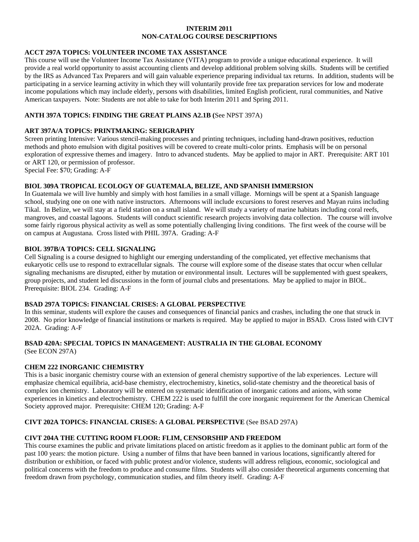## **INTERIM 2011 NON-CATALOG COURSE DESCRIPTIONS**

## **ACCT 297A TOPICS: VOLUNTEER INCOME TAX ASSISTANCE**

This course will use the Volunteer Income Tax Assistance (VITA) program to provide a unique educational experience. It will provide a real world opportunity to assist accounting clients and develop additional problem solving skills. Students will be certified by the IRS as Advanced Tax Preparers and will gain valuable experience preparing individual tax returns. In addition, students will be participating in a service learning activity in which they will voluntarily provide free tax preparation services for low and moderate income populations which may include elderly, persons with disabilities, limited English proficient, rural communities, and Native American taxpayers. Note: Students are not able to take for both Interim 2011 and Spring 2011.

## **ANTH 397A TOPICS: FINDING THE GREAT PLAINS A2.1B (**See NPST 397A)

## **ART 397A/A TOPICS: PRINTMAKING: SERIGRAPHY**

Screen printing Intensive: Various stencil-making processes and printing techniques, including hand-drawn positives, reduction methods and photo emulsion with digital positives will be covered to create multi-color prints. Emphasis will be on personal exploration of expressive themes and imagery. Intro to advanced students. May be applied to major in ART. Prerequisite: ART 101 or ART 120, or permission of professor.

Special Fee: \$70; Grading: A-F

### **BIOL 309A TROPICAL ECOLOGY OF GUATEMALA, BELIZE, AND SPANISH IMMERSION**

In Guatemala we will live humbly and simply with host families in a small village. Mornings will be spent at a Spanish language school, studying one on one with native instructors. Afternoons will include excursions to forest reserves and Mayan ruins including Tikal. In Belize, we will stay at a field station on a small island. We will study a variety of marine habitats including coral reefs, mangroves, and coastal lagoons. Students will conduct scientific research projects involving data collection. The course will involve some fairly rigorous physical activity as well as some potentially challenging living conditions. The first week of the course will be on campus at Augustana. Cross listed with PHIL 397A. Grading: A-F

# **BIOL 397B/A TOPICS: CELL SIGNALING**

Cell Signaling is a course designed to highlight our emerging understanding of the complicated, yet effective mechanisms that eukaryotic cells use to respond to extracellular signals. The course will explore some of the disease states that occur when cellular signaling mechanisms are disrupted, either by mutation or environmental insult. Lectures will be supplemented with guest speakers, group projects, and student led discussions in the form of journal clubs and presentations. May be applied to major in BIOL. Prerequisite: BIOL 234. Grading: A-F

### **BSAD 297A TOPICS: FINANCIAL CRISES: A GLOBAL PERSPECTIVE**

In this seminar, students will explore the causes and consequences of financial panics and crashes, including the one that struck in 2008. No prior knowledge of financial institutions or markets is required. May be applied to major in BSAD. Cross listed with CIVT 202A. Grading: A-F

#### **BSAD 420A: SPECIAL TOPICS IN MANAGEMENT: AUSTRALIA IN THE GLOBAL ECONOMY**  (See ECON 297A)

### **CHEM 222 INORGANIC CHEMISTRY**

This is a basic inorganic chemistry course with an extension of general chemistry supportive of the lab experiences. Lecture will emphasize chemical equilibria, acid-base chemistry, electrochemistry, kinetics, solid-state chemistry and the theoretical basis of complex ion chemistry. Laboratory will be entered on systematic identification of inorganic cations and anions, with some experiences in kinetics and electrochemistry. CHEM 222 is used to fulfill the core inorganic requirement for the American Chemical Society approved major. Prerequisite: CHEM 120; Grading: A-F

## **CIVT 202A TOPICS: FINANCIAL CRISES: A GLOBAL PERSPECTIVE** (See BSAD 297A)

# **CIVT 204A THE CUTTING ROOM FLOOR: FLIM, CENSORSHIP AND FREEDOM**

This course examines the public and private limitations placed on artistic freedom as it applies to the dominant public art form of the past 100 years: the motion picture. Using a number of films that have been banned in various locations, significantly altered for distribution or exhibition, or faced with public protest and/or violence, students will address religious, economic, sociological and political concerns with the freedom to produce and consume films. Students will also consider theoretical arguments concerning that freedom drawn from psychology, communication studies, and film theory itself. Grading: A-F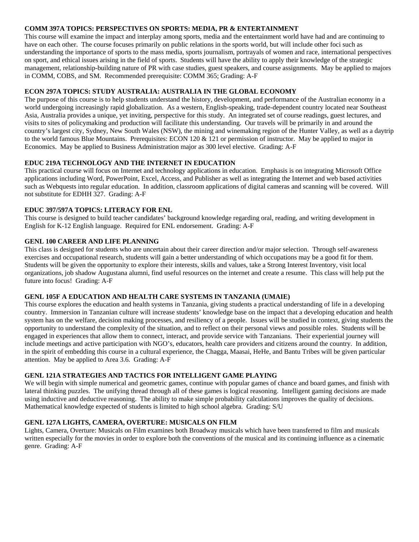## **COMM 397A TOPICS: PERSPECTIVES ON SPORTS: MEDIA, PR & ENTERTAINMENT**

This course will examine the impact and interplay among sports, media and the entertainment world have had and are continuing to have on each other. The course focuses primarily on public relations in the sports world, but will include other foci such as understanding the importance of sports to the mass media, sports journalism, portrayals of women and race, international perspectives on sport, and ethical issues arising in the field of sports. Students will have the ability to apply their knowledge of the strategic management, relationship-building nature of PR with case studies, guest speakers, and course assignments. May be applied to majors in COMM, COBS, and SM. Recommended prerequisite: COMM 365; Grading: A-F

# **ECON 297A TOPICS: STUDY AUSTRALIA: AUSTRALIA IN THE GLOBAL ECONOMY**

The purpose of this course is to help students understand the history, development, and performance of the Australian economy in a world undergoing increasingly rapid globalization. As a western, English-speaking, trade-dependent country located near Southeast Asia, Australia provides a unique, yet inviting, perspective for this study. An integrated set of course readings, guest lectures, and visits to sites of policymaking and production will facilitate this understanding. Our travels will be primarily in and around the country's largest city, Sydney, New South Wales (NSW), the mining and winemaking region of the Hunter Valley, as well as a daytrip to the world famous Blue Mountains. Prerequisites: ECON 120 & 121 or permission of instructor. May be applied to major in Economics. May be applied to Business Administration major as 300 level elective. Grading: A-F

# **EDUC 219A TECHNOLOGY AND THE INTERNET IN EDUCATION**

This practical course will focus on Internet and technology applications in education. Emphasis is on integrating Microsoft Office applications including Word, PowerPoint, Excel, Access, and Publisher as well as integrating the Internet and web based activities such as Webquests into regular education. In addition, classroom applications of digital cameras and scanning will be covered. Will not substitute for EDHH 327. Grading: A-F

# **EDUC 397/597A TOPICS: LITERACY FOR ENL**

This course is designed to build teacher candidates' background knowledge regarding oral, reading, and writing development in English for K-12 English language. Required for ENL endorsement. Grading: A-F

# **GENL 100 CAREER AND LIFE PLANNING**

This class is designed for students who are uncertain about their career direction and/or major selection. Through self-awareness exercises and occupational research, students will gain a better understanding of which occupations may be a good fit for them. Students will be given the opportunity to explore their interests, skills and values, take a Strong Interest Inventory, visit local organizations, job shadow Augustana alumni, find useful resources on the internet and create a resume. This class will help put the future into focus! Grading: A-F

### **GENL 105F A EDUCATION AND HEALTH CARE SYSTEMS IN TANZANIA (UMAIE)**

This course explores the education and health systems in Tanzania, giving students a practical understanding of life in a developing country. Immersion in Tanzanian culture will increase students' knowledge base on the impact that a developing education and health system has on the welfare, decision making processes, and resiliency of a people. Issues will be studied in context, giving students the opportunity to understand the complexity of the situation, and to reflect on their personal views and possible roles. Students will be engaged in experiences that allow them to connect, interact, and provide service with Tanzanians. Their experiential journey will include meetings and active participation with NGO's, educators, health care providers and citizens around the country. In addition, in the spirit of embedding this course in a cultural experience, the Chagga, Maasai, HeHe, and Bantu Tribes will be given particular attention. May be applied to Area 3.6. Grading: A-F

### **GENL 121A STRATEGIES AND TACTICS FOR INTELLIGENT GAME PLAYING**

We will begin with simple numerical and geometric games, continue with popular games of chance and board games, and finish with lateral thinking puzzles. The unifying thread through all of these games is logical reasoning. Intelligent gaming decisions are made using inductive and deductive reasoning. The ability to make simple probability calculations improves the quality of decisions. Mathematical knowledge expected of students is limited to high school algebra. Grading: S/U

# **GENL 127A LIGHTS, CAMERA, OVERTURE: MUSICALS ON FILM**

Lights, Camera, Overture: Musicals on Film examines both Broadway musicals which have been transferred to film and musicals written especially for the movies in order to explore both the conventions of the musical and its continuing influence as a cinematic genre. Grading: A-F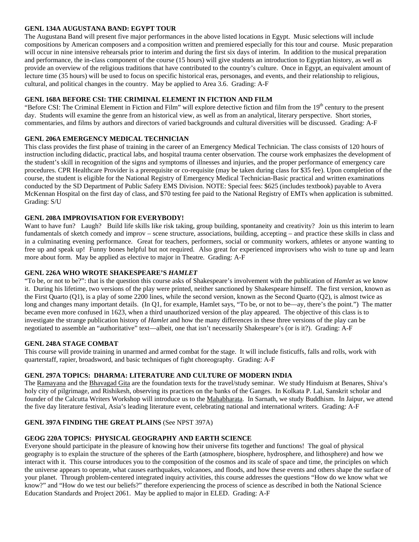## **GENL 134A AUGUSTANA BAND: EGYPT TOUR**

The Augustana Band will present five major performances in the above listed locations in Egypt. Music selections will include compositions by American composers and a composition written and premiered especially for this tour and course. Music preparation will occur in nine intensive rehearsals prior to interim and during the first six days of interim. In addition to the musical preparation and performance, the in-class component of the course (15 hours) will give students an introduction to Egyptian history, as well as provide an overview of the religious traditions that have contributed to the country's culture. Once in Egypt, an equivalent amount of lecture time (35 hours) will be used to focus on specific historical eras, personages, and events, and their relationship to religious, cultural, and political changes in the country. May be applied to Area 3.6. Grading: A-F

# **GENL 168A BEFORE CSI: THE CRIMINAL ELEMENT IN FICTION AND FILM**

"Before CSI: The Criminal Element in Fiction and Film" will explore detective fiction and film from the  $19<sup>th</sup>$  century to the present day. Students will examine the genre from an historical view, as well as from an analytical, literary perspective. Short stories, commentaries, and films by authors and directors of varied backgrounds and cultural diversities will be discussed. Grading: A-F

# **GENL 206A EMERGENCY MEDICAL TECHNICIAN**

This class provides the first phase of training in the career of an Emergency Medical Technician. The class consists of 120 hours of instruction including didactic, practical labs, and hospital trauma center observation. The course work emphasizes the development of the student's skill in recognition of the signs and symptoms of illnesses and injuries, and the proper performance of emergency care procedures. CPR Healthcare Provider is a prerequisite or co-requisite (may be taken during class for \$35 fee). Upon completion of the course, the student is eligible for the National Registry of Emergency Medical Technician-Basic practical and written examinations conducted by the SD Department of Public Safety EMS Division. NOTE: Special fees: \$625 (includes textbook) payable to Avera McKennan Hospital on the first day of class, and \$70 testing fee paid to the National Registry of EMTs when application is submitted. Grading: S/U

# **GENL 208A IMPROVISATION FOR EVERYBODY!**

Want to have fun? Laugh? Build life skills like risk taking, group building, spontaneity and creativity? Join us this interim to learn fundamentals of sketch comedy and improv – scene structure, associations, building, accepting – and practice these skills in class and in a culminating evening performance. Great for teachers, performers, social or community workers, athletes or anyone wanting to free up and speak up! Funny bones helpful but not required. Also great for experienced improvisers who wish to tune up and learn more about form. May be applied as elective to major in Theatre. Grading: A-F

### **GENL 226A WHO WROTE SHAKESPEARE'S** *HAMLET*

"To be, or not to be?": that is the question this course asks of Shakespeare's involvement with the publication of *Hamlet* as we know it. During his lifetime, two versions of the play were printed, neither sanctioned by Shakespeare himself. The first version, known as the First Quarto (Q1), is a play of some 2200 lines, while the second version, known as the Second Quarto (Q2), is almost twice as long and changes many important details. (In Q1, for example, Hamlet says, "To be, or not to be—ay, there's the point.") The matter became even more confused in 1623, when a third unauthorized version of the play appeared. The objective of this class is to investigate the strange publication history of *Hamlet* and how the many differences in these three versions of the play can be negotiated to assemble an "authoritative" text—albeit, one that isn't necessarily Shakespeare's (or is it?). Grading: A-F

### **GENL 248A STAGE COMBAT**

This course will provide training in unarmed and armed combat for the stage. It will include fisticuffs, falls and rolls, work with quarterstaff, rapier, broadsword, and basic techniques of fight choreography. Grading: A-F

### **GENL 297A TOPICS: DHARMA: LITERATURE AND CULTURE OF MODERN INDIA**

The Ramayana and the Bhavagad Gita are the foundation texts for the travel/study seminar. We study Hinduism at Benares, Shiva's holy city of pilgrimage, and Rishikesh, observing its practices on the banks of the Ganges. In Kolkata P. Lal, Sanskrit scholar and founder of the Calcutta Writers Workshop will introduce us to the Mahabharata. In Sarnath, we study Buddhism. In Jaipur, we attend the five day literature festival, Asia's leading literature event, celebrating national and international writers. Grading: A-F

# **GENL 397A FINDING THE GREAT PLAINS** (See NPST 397A)

# **GEOG 220A TOPICS: PHYSICAL GEOGRAPHY AND EARTH SCIENCE**

Everyone should participate in the pleasure of knowing how their universe fits together and functions! The goal of physical geography is to explain the structure of the spheres of the Earth (atmosphere, biosphere, hydrosphere, and lithosphere) and how we interact with it. This course introduces you to the composition of the cosmos and its scale of space and time, the principles on which the universe appears to operate, what causes earthquakes, volcanoes, and floods, and how these events and others shape the surface of your planet. Through problem-centered integrated inquiry activities, this course addresses the questions "How do we know what we know?" and "How do we test our beliefs?" therefore experiencing the process of science as described in both the National Science Education Standards and Project 2061. May be applied to major in ELED. Grading: A-F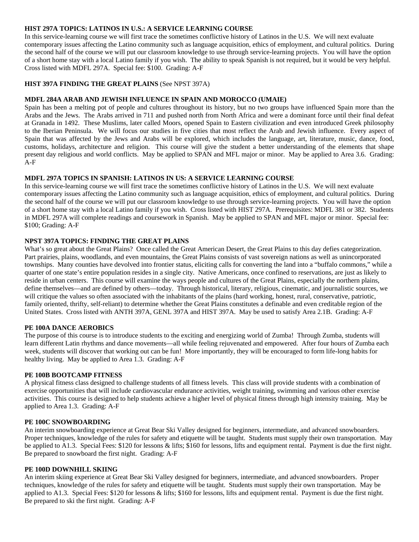### **HIST 297A TOPICS: LATINOS IN U.S.: A SERVICE LEARNING COURSE**

In this service-learning course we will first trace the sometimes conflictive history of Latinos in the U.S. We will next evaluate contemporary issues affecting the Latino community such as language acquisition, ethics of employment, and cultural politics. During the second half of the course we will put our classroom knowledge to use through service-learning projects. You will have the option of a short home stay with a local Latino family if you wish. The ability to speak Spanish is not required, but it would be very helpful. Cross listed with MDFL 297A. Special fee: \$100. Grading: A-F

#### **HIST 397A FINDING THE GREAT PLAINS** (See NPST 397A)

#### **MDFL 284A ARAB AND JEWISH INFLUENCE IN SPAIN AND MOROCCO (UMAIE)**

Spain has been a melting pot of people and cultures throughout its history, but no two groups have influenced Spain more than the Arabs and the Jews. The Arabs arrived in 711 and pushed north from North Africa and were a dominant force until their final defeat at Granada in 1492. These Muslims, later called Moors, opened Spain to Eastern civilization and even introduced Greek philosophy to the Iberian Peninsula. We will focus our studies in five cities that most reflect the Arab and Jewish influence. Every aspect of Spain that was affected by the Jews and Arabs will be explored, which includes the language, art, literature, music, dance, food, customs, holidays, architecture and religion. This course will give the student a better understanding of the elements that shape present day religious and world conflicts. May be applied to SPAN and MFL major or minor. May be applied to Area 3.6.Grading: A-F

#### **MDFL 297A TOPICS IN SPANISH: LATINOS IN US: A SERVICE LEARNING COURSE**

In this service-learning course we will first trace the sometimes conflictive history of Latinos in the U.S. We will next evaluate contemporary issues affecting the Latino community such as language acquisition, ethics of employment, and cultural politics. During the second half of the course we will put our classroom knowledge to use through service-learning projects. You will have the option of a short home stay with a local Latino family if you wish. Cross listed with HIST 297A. Prerequisites: MDFL 381 or 382. Students in MDFL 297A will complete readings and coursework in Spanish. May be applied to SPAN and MFL major or minor. Special fee: \$100; Grading: A-F

#### **NPST 397A TOPICS: FINDING THE GREAT PLAINS**

What's so great about the Great Plains? Once called the Great American Desert, the Great Plains to this day defies categorization. Part prairies, plains, woodlands, and even mountains, the Great Plains consists of vast sovereign nations as well as unincorporated townships. Many counties have devolved into frontier status, eliciting calls for converting the land into a "buffalo commons," while a quarter of one state's entire population resides in a single city. Native Americans, once confined to reservations, are just as likely to reside in urban centers. This course will examine the ways people and cultures of the Great Plains, especially the northern plains, define themselves—and are defined by others—today. Through historical, literary, religious, cinematic, and journalistic sources, we will critique the values so often associated with the inhabitants of the plains (hard working, honest, rural, conservative, patriotic, family oriented, thrifty, self-reliant) to determine whether the Great Plains constitutes a definable and even creditable region of the United States. Cross listed with ANTH 397A, GENL 397A and HIST 397A. May be used to satisfy Area 2.1B. Grading: A-F

#### **PE 100A DANCE AEROBICS**

The purpose of this course is to introduce students to the exciting and energizing world of Zumba! Through Zumba, students will learn different Latin rhythms and dance movements—all while feeling rejuvenated and empowered. After four hours of Zumba each week, students will discover that working out can be fun! More importantly, they will be encouraged to form life-long habits for healthy living. May be applied to Area 1.3. Grading: A-F

#### **PE 100B BOOTCAMP FITNESS**

A physical fitness class designed to challenge students of all fitness levels. This class will provide students with a combination of exercise opportunities that will include cardiovascular endurance activities, weight training, swimming and various other exercise activities. This course is designed to help students achieve a higher level of physical fitness through high intensity training. May be applied to Area 1.3. Grading: A-F

#### **PE 100C SNOWBOARDING**

An interim snowboarding experience at Great Bear Ski Valley designed for beginners, intermediate, and advanced snowboarders. Proper techniques, knowledge of the rules for safety and etiquette will be taught. Students must supply their own transportation. May be applied to A1.3. Special Fees: \$120 for lessons & lifts; \$160 for lessons, lifts and equipment rental. Payment is due the first night. Be prepared to snowboard the first night. Grading: A-F

#### **PE 100D DOWNHILL SKIING**

An interim skiing experience at Great Bear Ski Valley designed for beginners, intermediate, and advanced snowboarders. Proper techniques, knowledge of the rules for safety and etiquette will be taught. Students must supply their own transportation. May be applied to A1.3. Special Fees: \$120 for lessons & lifts; \$160 for lessons, lifts and equipment rental. Payment is due the first night. Be prepared to ski the first night. Grading: A-F